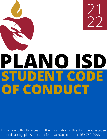

If you have difficulty accessing the information in this document because of disability, please contact [feedback@pisd.edu](mailto:feedback@pisd.edu) or 469-752-9998.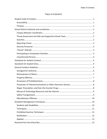# TABLE OF CONTENTS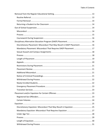| Discretionary Placement: Misconduct That May Result in DAEP Placement 16 |  |
|--------------------------------------------------------------------------|--|
| Mandatory Placement: Misconduct That Requires DAEP Placement  17         |  |
|                                                                          |  |
|                                                                          |  |
|                                                                          |  |
|                                                                          |  |
|                                                                          |  |
|                                                                          |  |
|                                                                          |  |
|                                                                          |  |
|                                                                          |  |
|                                                                          |  |
|                                                                          |  |
|                                                                          |  |
|                                                                          |  |
|                                                                          |  |
|                                                                          |  |
|                                                                          |  |
| Discretionary Expulsion: Misconduct That May Result in Expulsion  25     |  |
|                                                                          |  |
|                                                                          |  |
|                                                                          |  |
|                                                                          |  |
|                                                                          |  |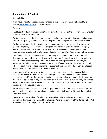# <span id="page-4-0"></span>**Student Code of Conduct**

# <span id="page-4-1"></span>**Accessibility**

If you have difficulty accessing the information in this document because of disability, please contact [feedback@pisd.edu](mailto:feedback@pisd.edu) or 469-752-9998.

# <span id="page-4-2"></span>**Purpose**

The Student Code of Conduct ("Code") is the district's response to the requirements of Chapter 37 of the Texas Education Code.

The Code provides methods and options for managing students in the classroom and on school grounds, disciplining students, and preventing and intervening in student discipline problems.

The law requires the district to define misconduct that may—or must—result in a range of specific disciplinary consequences including removal from a regular classroom or campus, outof-school suspension, placement in a disciplinary alternative education program (DAEP), placement in a juvenile justice alternative education program (JJAEP), or expulsion from school.

This Student Code of Conduct has been adopted by the Plano ISD Board of Trustees and developed with the advice of the district-level committee. This Code provides information to parents and students regarding standards of conduct, consequences of misconduct, and procedures for administering discipline. It remains in effect during summer school and at all school-related events and activities outside the school year until an updated version adopted by the board becomes effective for the next school year.

In accordance with state law, the Code shall be posted at each school campus or shall be available for review at the office of the campus principal. Additionally, the Code shall be available at the office of the campus behavior coordinator and posted on the district's website. Parents shall be notified of any conduct violation that may result in a student being suspended, placed in a DAEP or JJAEP, expelled, or taken into custody by a law enforcement officer under Chapter 37 of the Education Code.

Because the Student Code of Conduct is adopted by the district's board of trustees, it has the force of policy; therefore, in case of conflict between the Code and the Student Handbook, the Code shall prevail.

**Please note:** The discipline of students with disabilities who are eligible for services under federal law (Individuals with Disabilities Education Act and Section 504 of the Rehabilitation Act of 1973) is subject to the provisions of those laws.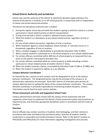# <span id="page-5-0"></span>**School District Authority and Jurisdiction**

School rules and the authority of the district to administer discipline apply whenever the interest of the district is involved, on or off school grounds, in conjunction with or independent of classes and school-sponsored activities.

The district has disciplinary authority over a student:

- 1. During the regular school day and while the student is going to and from school or a schoolsponsored or school-related activity on district transportation;
- 2. During lunch periods in which a student is allowed to leave campus;
- 3. While the student is in attendance at any school-related activity, regardless of time or location;
- 4. For any school-related misconduct, regardless of time or location;
- 5. When retaliation against a school employee, board member, or volunteer occurs or is threatened, regardless of time or location;
- 6. When a student engages in cyberbullying, as provided by Education Code 37.0832;
- 7. When criminal mischief is committed on or off school property or at a school-related event;
- 8. For certain offenses committed within 300 feet of school property as measured from any point on the school's real property boundary line;
- 9. For certain offenses committed while on school property or while attending a schoolsponsored or school-related activity of another district in Texas;
- 10. When the student commits a felony, as provided by Education Code 37.006 or 37.0081; and
- 11. When the student is required to register as a sex offender.

# <span id="page-5-1"></span>**Campus Behavior Coordinator**

As required by law, a person at each campus must be designated to serve as the campus behavior coordinator. The designated person may be the principal of the campus or an administrator selected by the principal. Plano ISD's District of Innovation plan permits all campus administrators to uphold the duties of the campus behavior coordinator. The campus behavior coordinator is primarily responsible for maintaining student discipline. Contact information may be found on each campus website.

#### <span id="page-5-2"></span>**Threat Assessment and Safe and Supportive School Team**

Campus administrators will work closely with the campus threat assessment safe and supportive school team to implement the district's threat assessment policy and procedures, as required by law, and shall take appropriate disciplinary action in accordance with the Code of Conduct.

# <span id="page-5-3"></span>**Searches**

District officials may conduct searches of students, their belongings, and their vehicles in accordance with state and federal law and district policy. Searches of students shall be conducted in a reasonable and nondiscriminatory manner. Refer to the district's policies at FNF(LEGAL) and FNF(LOCAL) for more information regarding investigations and searches.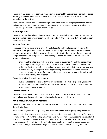The district has the right to search a vehicle driven to school by a student and parked on school property whenever there is reasonable suspicion to believe it contains articles or materials prohibited by the district.

Desks, lockers, district-provided technology, and similar items are the property of the district and are provided for student use as a matter of convenience. District property is subject to search or inspection at any time without notice.

# <span id="page-6-0"></span>**Reporting Crimes**

The principal or other school administrators as appropriate shall report crimes as required by law and shall call local law enforcement when an administrator suspects that a crime has been committed on campus.

# <span id="page-6-1"></span>**Security Personnel**

To ensure sufficient security and protection of students, staff, and property, the district has entered into an agreement with local law enforcement agencies for school resource officers. School resource officers shall provide services consistent with the terms of the agreement, the comprehensive safety programs, and board policy. The law enforcement duties of school resource officers are:

• protecting the safety and welfare of any person in the jurisdiction of the peace officer; protecting the property of the school district; investigation of criminal offenses and incidents affecting the safety and welfare of students, staff and others; performing any duty required by law of peace officers; presenting approved educational or safety programs to students or staff members where such programs promote the safety and welfare of students, staff or others.

The duties of district security personnel are:

• duties and responsibilities within the proper scope of their role or position, including activities that promote the safety and welfare of persons on district property, and the protection of district property.

# <span id="page-6-2"></span>**"Parent" Defined**

Throughout the Code of Conduct and related discipline policies, the term "parent" includes a parent, legal guardian, or other person having lawful control of the child.

# <span id="page-6-3"></span>**Participating in Graduation Activities**

The district has the right to limit a student's participation in graduation activities for violating the district's Code.

Participation might include a speaking role, as established by district policy and procedures.

Students eligible to give the opening and closing remarks at graduation shall be notified by the campus principal. Notwithstanding any other eligibility requirements, in order to be considered as an eligible student to give the opening or closing remarks, a student shall not have engaged in any misconduct in violation of the district's Code resulting in an out-of-school suspension, removal to a DAEP, or expulsion during the semester immediately preceding graduation.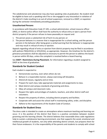The valedictorian and salutatorian may also have speaking roles at graduation. No student shall be eligible to have such a speaking role if he or she engaged in any misconduct in violation of the district's Code resulting in an out-of-school suspension, removal to a DAEP, or expulsion during the semester immediately preceding graduation.

# <span id="page-7-0"></span>**Unauthorized Persons**

In accordance with Education Code 37.105, a school administrator, school resource officer (SRO), or district police officer shall have the authority to refuse entry or eject a person from district property if the person refuses to leave peaceably on request and:

- 1. The person poses a substantial risk of harm to any person; or
- 2. The person behaves in a manner that is inappropriate for a school setting, and the person persists in the behavior after being given a verbal warning that the behavior is inappropriate and may result in refusal of entry or ejection.

Appeals regarding refusal of entry or ejection from district property may be filed in accordance with policies FNG(LOCAL) or GF(LOCAL), as appropriate. However, the timelines for the district's grievance procedures shall be adjusted as necessary to permit the person to address the board in person within 90 days, unless the complaint is resolved before a board hearing.

See **DAEP—Restrictions During Placement**, for information regarding a student assigned to DAEP at the time of graduation.

# <span id="page-7-1"></span>**Standards for Student Conduct**

Each student is expected to:

- Demonstrate courtesy, even when others do not.
- Behave in a responsible manner, always exercising self-discipline.
- Attend all classes, regularly and on time.
- Prepare for each class; take appropriate materials and assignments to class.
- Meet district and campus standards of grooming and dress.
- Obey all campus and classroom rules.
- Respect the rights and privileges of students, teachers, and other district staff and volunteers.
- Respect the property of others, including district property and facilities.
- Cooperate with and assist the school staff in maintaining safety, order, and discipline.
- Adhere to the requirements of the Student Code of Conduct.

# <span id="page-7-2"></span>**Standards for Student Dress**

The dress code is intended to create an atmosphere where maximum teaching and learning can occur. It is the position of the district that there is a positive correlation between student grooming and the learning climate. The district believes that reasonable dress code regulations help to sustain a wholesome learning environment, one that supports the social, emotional and intellectual growth of students, not only while attending district schools, but prepares them for their future endeavors. It is the responsibility of the parents and students to comply with school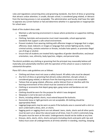rules and regulations concerning dress and grooming standards. Any form of dress or grooming that attracts undue attention, is unsafe, disrupts school, is considered gang related, or detracts from the learning process is not acceptable. The administration and faculty shall have the right to appraise any current fashion or fad and determine whether it is appropriate or inappropriate for school wear.

Goals of the student dress code:

- Maintain a safe learning environment in classes where protective or supportive clothing is needed.
- Clothing, hairstyles and accessories must meet reasonable, school-appropriate standards that support a safe school environment.
- Prevent students from wearing clothing with offensive images or language that is vulgar, offensive, lewd, indecent; or images or language that contain fighting words, incites criminal activity, contains extortion or threats, includes hate speech, or promotes illegal use of drugs or alcohol.
- Ensure that all students are treated fairly regardless of gender identification, sex/sexual orientation, race, ethnicity, body type/size, religion, and personal style.

The district prohibits any clothing or grooming that the principal may reasonably believe will materially and substantially interfere with the operation of the school or cause a material or substantial disruption.

Plano ISD's dress code guidelines are as follows:

- Clothing and shoes must not cause a safety hazard. All safety rules must be obeyed.
- Any form of dress or grooming that attracts undue attention, disrupts school, is considered gang related, or detracts from the learning process is not acceptable.
- Tattoos that are gang-related, offensive, and/or distract from or interfere with the learning environment of the school must be covered at all times.
- Clothing or accessories that depict gang signs, gang names and bandanas are not permitted.
- Clothing should be worn for the purpose for which it was designed.
- Sleepwear is not to be worn at school.
- Shorts, including athletic shorts, must extend beyond the buttocks.
- Excessively loose or tight garments are not acceptable. All clothing should be appropriately fitted.
- Leggings/yoga pants may be worn as pants if the buttocks area is covered with a shirt or worn underneath a dress, skirt, or shorts.
- Sagging pants or sagging shorts are not allowed. Jeans, slacks, shorts and all other pants must be worn at or about the natural waist at all times. Even if a shirt is extremely long, the pants must be worn at the waist. Undergarments should not be visible at any time.
- Dresses, skirts, skorts, shirts, shorts and pants (including shorts and pants with rips and holes) must cover all undergarments at all times whether in standing, reaching, stooping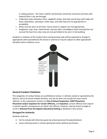or sitting position. The chest, midriff, and buttocks should be covered at all times with material that is not see-through.

- Underwear-type sleeveless shirts, spaghetti straps, tank tops and jerseys with large arm holes, beachwear, swimwear, halter tops, and tube tops are not appropriate or acceptable.
- Shoes must be worn at all times. House shoes or slippers are not appropriate.
- Sunglasses, caps, hats, raised hoods, and any other nonreligious head covering that can conceal the face from clear view are not permitted to be worn in the building.

Students in violation of the student dress and grooming code will be expected to change to appropriate attire (provided by the school or parent) or may be subject to other appropriate discipline when violations occur.



# <span id="page-9-0"></span>**General Conduct Violations**

The categories of conduct below are prohibited at school, in vehicles owned or operated by the district, and at all school-related activities, but the list does not include the most severe offenses. In the subsequent sections on **Out-of-School Suspension**, **DAEP Placement**, **Placement and/or Expulsion for Certain Offenses,** and **Expulsion**, certain offenses that require or permit specific consequences are listed. Any offense, however, may be severe enough to result in **Removal from the Regular Educational Setting** as detailed in that section.

# <span id="page-9-1"></span>**Disregard for Authority**

- Fail to comply with directives given by school personnel (insubordination).
- Leave school grounds or school-sponsored events without permission.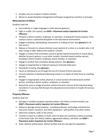- Disobey rules for conduct in district vehicles.
- Refuse to accept discipline management techniques assigned by a teacher or principal.

# <span id="page-10-0"></span>**Mistreatment of Others**

Students shall not:

- Use profanity or vulgar language or make obscene gestures.
- Fight or scuffle. (For assault, see **DAEP—Placement and/or Expulsion for Certain Offenses**)
- Threaten a district student, employee, or volunteer, including off school property, if the conduct causes a substantial disruption to the educational environment.
- Engage in bullying, cyberbullying, harassment, or making hit lists. (See **glossary** for all four terms.)
- Release or threaten to release intimate visual material of a minor or a student who is 18 years of age or older without the student's consent.
- Engage in conduct that constitutes sexual or gender-based harassment or sexual abuse, whether by word, gesture, or any other conduct, directed toward another person, including a district student, employee, board member, or volunteer.
- Engage in conduct that constitutes dating violence. (See **glossary**.)
- Engage in inappropriate or indecent exposure of private body parts.
- Participate in hazing. (See **glossary**.)
- Cause an individual to act through the use of or threat of force (coercion).
- Commit extortion or blackmail (obtaining money or an object of value from an unwilling person).
- Engage in inappropriate verbal, physical, or sexual conduct directed toward another person, including a district student, employee, or volunteer.
- Record the voice or image of another without the prior consent of the individual being recorded or in any way that disrupts the educational environment or invades the privacy of others.

# <span id="page-10-1"></span>**Property Offenses**

- Damage or vandalize property owned by others. (For felony criminal mischief, see **DAEP—Placement and/or Expulsion for Certain Offenses**.)
- Deface or damage school property—including textbooks, technology and electronic resources, lockers, furniture, and other equipment—with graffiti or by other means.
- Steal from students, staff, or the school.
- Commit or assist in a robbery or theft, even if it does not constitute a felony according to the Penal Code. (For felony robbery, aggravated robbery, and theft, see **DAEP— Placement and/or Expulsion for Certain Offenses**.)
- Enter, without authorization, district facilities that are not open for operations.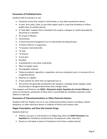# <span id="page-11-0"></span>**Possession of Prohibited Items**

Students shall not possess or use:

- Fireworks of any kind, smoke or stink bombs, or any other pyrotechnic device;
- A razor, box cutter, chain, or any other object used in a way that threatens or inflicts bodily injury to another person;
- A "look-alike" weapon that is intended to be used as a weapon or could reasonably be perceived as a weapon;
- An air gun or BB gun;
- Ammunition;
- A hand instrument designed to cut or stab another by being thrown;
- A firearm silencer or suppressor;
- \*A location-restricted knife;
- \*A club;
- \*A firearm;
- A stun gun;
- Knuckles
- A pocketknife or any other small knife;
- Mace or pepper spray;
- Pornographic material;
- Tobacco products; cigarettes; e-cigarettes; and any component, part, or accessory for an e-cigarette device;
- Matches or a lighter;
- A laser pointer for other than an approved use; or
- Any articles not generally considered to be weapons, including school supplies, when the principal or designee determines that a danger exists.

\*For weapons and firearms, see **DAEP—Placement and/or Expulsion for Certain Offenses**. In many circumstances, possession of these items is punishable by mandatory expulsion under federal or state law.

#### <span id="page-11-1"></span>**Possession of Telecommunications or Other Electronic Devices**

Students shall not: Display, turn on or use a telecommunications device, including a cellular telephone, or other electronic device in violation of district and campus rules.

#### <span id="page-11-2"></span>**Illegal, Prescription, and Over-the-Counter Drugs**

- Possess, use, give, or sell alcohol or an illegal drug. (Also see **DAEP Placement** and **Expulsion** for mandatory and permissive consequences under state law.)
- Possess or sell seeds or pieces of marijuana in less than a usable amount.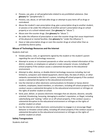- Possess, use, give, or sell paraphernalia related to any prohibited substance. (See **glossary** for "paraphernalia.")
- Possess, use, abuse, or sell look-alike drugs or attempt to pass items off as drugs or contraband.
- Abuse the student's own prescription drug, give a prescription drug to another student, or possess or be under the influence of another person's prescription drug on school property or at a school-related event. (See **glossary** for "abuse.")
- Abuse over-the-counter drugs. (See **glossary** for "abuse.")
- Be under the influence of prescription or over-the-counter drugs that cause impairment of the physical or mental faculties. (See **glossary** for "under the influence.")
- Have or take prescription drugs or over-the-counter drugs at school other than as provided by district policy.

# <span id="page-12-0"></span>**Misuse of Technology Resources and the Internet**

Students shall not:

- Violate policies, rules, or agreements signed by the student or the student's parent regarding the use of technology resources.
- Attempt to access or circumvent passwords or other security-related information of the district, students, or employees or upload or create computer viruses, including off school property if the conduct causes a substantial disruption to the educational environment.
- Attempt to alter, destroy, or disable district technology resources including, but not limited to, computers and related equipment, district data, the data of others, or other networks connected to the district's system, including off school property if the conduct causes a substantial disruption to the educational environment.
- Use the internet or other electronic communications to threaten or harass district students, employees, board members, or volunteers, including off school property if the conduct causes a substantial disruption to the educational environment or infringes on the rights of another student at school.
- Send, post, deliver, or possess electronic messages that are abusive, obscene, sexually oriented, threatening, harassing, damaging to another's reputation, or illegal, including cyberbullying and "sexting," either on or off school property, if the conduct causes a substantial disruption to the educational environment or infringes on the rights of another student at school.
- Use the internet or other electronic communication to engage in or encourage illegal behavior or threaten school safety, including off school property if the conduct causes a substantial disruption to the educational environment or infringes on the rights of another student at school.

# <span id="page-12-1"></span>**Safety Transgressions**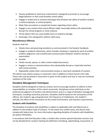- Possess published or electronic material that is designed to promote or encourage illegal behavior or that could threaten school safety.
- Engage in verbal (oral or written) exchanges that threaten the safety of another student, a school employee, or school property.
- Make false accusations or perpetrate hoaxes regarding school safety.
- Engage in any conduct that school officials might reasonably believe will substantially disrupt the school program or incite violence.
- Throw objects that can cause bodily injury or property damage.
- Discharge a fire extinguisher without valid cause.

# <span id="page-13-0"></span>**Miscellaneous Offenses**

Students shall not:

- Violate dress and grooming standards as communicated in the Student Handbook.
- Engage in academic dishonesty, which includes cheating or copying the work of another student, plagiarism, and unauthorized communication between students during an examination.
- Gamble.
- Falsify records, passes, or other school-related documents.
- Engage in actions or demonstrations that substantially disrupt or materially interfere with school activities.
- Repeatedly violate other communicated campus or classroom standards of conduct.

The district may impose campus or classroom rules in addition to those found in the Code. These rules may be posted in classrooms or given to the student and may or may not constitute violations of the Code.

# <span id="page-13-1"></span>**Discipline Management Techniques**

Discipline shall be designed to improve conduct and to encourage students to adhere to their responsibilities as members of the school community. Disciplinary action shall draw on the professional judgment of teachers and administrators and on a range of discipline management techniques, including restorative practices. Discipline shall be based on the seriousness of the offense, the student's age and grade level, the frequency of misbehavior, the student's attitude, the effect of the misconduct on the school environment, and statutory requirements.

# <span id="page-13-2"></span>**Students with Disabilities**

The discipline of students with disabilities is subject to applicable state and federal law in addition to the Student Code of Conduct. To the extent any conflict exists, the district shall comply with federal law. For more information regarding discipline of students with disabilities, see policy FOF(LEGAL).

In accordance with the Education Code, a student who receives special education services may not be disciplined for conduct meeting the definition of bullying, cyberbullying, harassment, or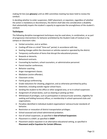making hit lists (see **glossary**) until an ARD committee meeting has been held to review the conduct.

In deciding whether to order suspension, DAEP placement, or expulsion, regardless of whether the action is mandatory or discretionary, the district shall take into consideration a disability that substantially impairs the student's capacity to appreciate the wrongfulness of the student's conduct.

# <span id="page-14-0"></span>**Techniques**

The following discipline management techniques may be used alone, in combination, or as part of progressive interventions for behavior prohibited by the Student Code of Conduct or by campus or classroom rules:

- Verbal correction, oral or written.
- Cooling-off time or a brief "time-out" period, in accordance with law.
- Seating changes within the classroom or vehicles owned or operated by the district.
- Temporary confiscation of items that disrupt the educational process.
- Rewards or demerits.
- Behavioral contracts.
- Counseling by teachers, school counselors, or administrative personnel.
- Parent-teacher conferences.
- Behavior coaching.
- Anger management classes.
- Mediation (victim-offender).
- Classroom circles.
- Family group conferencing.
- Grade reductions for cheating, plagiarism, and as otherwise permitted by policy.
- Detention, including outside regular school hours.
- Sending the student to the office or other assigned area, or to in-school suspension.
- Assignment of school duties, such as cleaning or picking up litter.
- Withdrawal of privileges, such as participation in extracurricular activities, eligibility for seeking and holding honorary offices, or membership in school-sponsored clubs and organizations.
- Penalties identified in individual student organizations' extracurricular standards of behavior.
- Restriction or revocation of district transportation privileges.
- School-assessed and school-administered probation.
- Out-of-school suspension, as specified in **Out-of-School Suspension**.
- Placement in a DAEP, as specified in **DAEP**.
- Placement and/or expulsion in an alternative educational setting, as specified in **Placement and/or Expulsion for Certain Offenses**.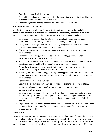- Expulsion, as specified in **Expulsion**.
- Referral to an outside agency or legal authority for criminal prosecution in addition to disciplinary measures imposed by the district.
- Other strategies and consequences as determined by school officials.

# <span id="page-15-0"></span>**Prohibited Aversive Techniques**

Aversive techniques are prohibited for use with students and are defined as techniques or interventions intended to reduce the reoccurrence of a behavior by intentionally inflicting significant physical or emotional discomfort or pain. Aversive techniques include:

- Using techniques designed or likely to cause physical pain, other than corporal punishment as permitted by district policy. [See policy FO(LOCAL).]
- Using techniques designed or likely to cause physical pain by electric shock or any procedure involving pressure points or joint locks.
- Directed release of noxious, toxic, or unpleasant spray, mist, or substance near a student's face.
- Denying adequate sleep, air, food, water, shelter, bedding, physical comfort, supervision, or access to a restroom facility.
- Ridiculing or demeaning a student in a manner that adversely affects or endangers the learning or mental health of the student or constitutes verbal abuse.
- Employing a device, material, or object that immobilizes all four of a student's extremities, including prone or supine floor restraint.
- Impairing the student's breathing, including applying pressure to the student's torso or neck or placing something in, on, or over the student's mouth or nose or covering the student's face.
- Restricting the student's circulation.
- Securing the student to a stationary object while the student is standing or sitting.
- Inhibiting, reducing, or hindering the student's ability to communicate.
- Using chemical restraints.
- Using time-out in a manner that prevents the student from being able to be involved in and progress appropriately in the required curriculum or any applicable individualized education program (IEP) goals, including isolating the student by the use of physical barriers.
- Depriving the student of one or more of the student's senses, unless the technique does not cause the student discomfort or complies with the student's IEP or behavior intervention plan (BIP).

# <span id="page-15-1"></span>**Notification**

The principal or appropriate administrator shall promptly notify a student's parent by phone or in person of any violation that may result in in-school or out-of-school suspension, placement in a DAEP, placement in a JJAEP, or expulsion. The principal or appropriate administrator shall also notify a student's parent if the student is taken into custody by a law enforcement officer under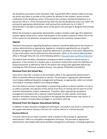the disciplinary provisions of the Education Code. A good faith effort shall be made on the day the action was taken to provide to the student for delivery to the student's parent written notification of the disciplinary action. If the parent has not been reached by telephone or in person by 5:00 p.m. of the first business day after the day the disciplinary action was taken, the principal or appropriate administrator shall send written notification by U.S. Mail. If administrator is not able to provide notice to the parent, the principal or designee shall provide the notice.

Before the principal or appropriate administrator assigns a student under age 18 to detention outside regular school hours, notice shall be given to the student's parent to inform him or her of the reason for the detention and permit arrangements for necessary transportation.

# <span id="page-16-0"></span>**Appeals**

Questions from parents regarding disciplinary measures should be addressed to the teacher or campus administration as appropriate. Appeals or complaints regarding the use of specific discipline management techniques should be addressed in accordance with policy FNG(LOCAL). A copy of the policy may be obtained from the principal's office, or the central administration office or through Policy On Line at the following address: *<http://pol.tasb.org/Home/Index/312>*

The district shall not delay a disciplinary consequence while a student or parent pursues a grievance. In the instance of a student who is accused of conduct that meets the definition of sexual harassment as defined by Title IX, the district will comply with applicable federal law, including the Title IX formal complaint process. See policies FFH(LEGAL) and (LOCAL).

# <span id="page-16-1"></span>**Removal from the School Bus**

A bus driver may refer a student to the principal's office or the appropriate administrator's office to maintain effective discipline on the bus. The principal or appropriate administrator must employ additional discipline management techniques, as appropriate, which can include restricting or revoking a student's bus riding privileges.

Since the district's primary responsibility in transporting students in district vehicles is to do so as safely as possible, the operator of the vehicle must focus on driving and not have his or her attention distracted by student misbehavior. Therefore, when appropriate disciplinary management techniques fail to improve student behavior or when specific misconduct warrants immediate removal, the principal or the appropriate administrator may restrict or revoke a student's transportation privileges, in accordance with law.

# <span id="page-16-2"></span>**Removal from the Regular Educational Setting**

In addition to other discipline management techniques, misconduct may result in removal from the regular educational setting in the form of a routine referral or a formal removal.

# <span id="page-16-3"></span>**Routine Referral**

A routine referral occurs when a teacher sends a student to the principal or appropriate administrator's office as a discipline management technique. The principal or appropriate administrator shall employ alternative discipline management techniques, including progressive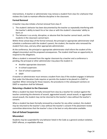interventions. A teacher or administrator may remove a student from class for a behavior that violates this Code to maintain effective discipline in the classroom.

# <span id="page-17-0"></span>**Formal Removal**

A teacher may also initiate a formal removal from class if:

- 1. The student's behavior has been documented by the teacher as repeatedly interfering with the teacher's ability to teach his or her class or with the student's classmates' ability to learn; or
- 2. The behavior is so unruly, disruptive, or abusive that the teacher cannot teach, and the students in the classroom cannot learn.

Within three school days of the formal removal, the principal or appropriate administrator shall schedule a conference with the student's parent, the student, the teacher who removed the student from class, and any other appropriate administrator.

At the conference, the principal or appropriate administrator shall inform the student of the alleged misconduct and the proposed consequences. The student shall have an opportunity to respond to the allegations.

When a student is removed from the regular classroom by a teacher and a conference is pending, the principal or other administrator may place the student in:

- Another appropriate classroom.
- In-school suspension.
- Out-of-school suspension.
- DAEP.

A teacher or administrator must remove a student from class if the student engages in behavior that under the Education Code requires or permits the student to be placed in a DAEP or expelled. When removing for those reasons, the procedures in the subsequent sections on DAEP or expulsion shall be followed.

# <span id="page-17-1"></span>**Returning a Student to the Classroom**

When a student has been formally removed from class by a teacher for conduct against the teacher containing the elements of assault, aggravated assault, sexual assault, or aggravated sexual assault, the student may not be returned to the teacher's class without the teacher's consent.

When a student has been formally removed by a teacher for any other conduct, the student may be returned to the teacher's class without the teacher's consent if the placement review committee determines that the teacher's class is the best or only alternative available.

# <span id="page-17-2"></span>**Out-of-School Suspension**

# <span id="page-17-3"></span>**Misconduct**

Students may be suspended for any behavior listed in the Code as a general conduct violation, DAEP offense, or expellable offense.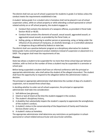The district shall not use out-of-school suspension for students in grade 2 or below unless the conduct meets the requirements established in law.

A student below grade 3 or a student who is homeless shall not be placed in out-of-school suspension unless, while on school property or while attending a school-sponsored or schoolrelated activity on or off school property, the student engages in:

- Conduct that contains the elements of a weapons offense, as provided in Penal Code Section 46.02 or 46.05;
- Conduct that contains the elements of assault, sexual assault, aggravated assault, or aggravated sexual assault, as provided by the Penal Code; or
- Selling, giving, or delivering to another person or possessing, using, or being under the influence of any amount of marijuana, an alcoholic beverage, or a controlled substance or dangerous drug as defined by federal or state law.

The district shall use a positive behavior program as a disciplinary alternative for students below grade 3 who commit general conduct violations instead of suspension or placement in a DAEP. The program shall meet the requirements of law.

# <span id="page-18-0"></span>**Process**

State law allows a student to be suspended for no more than three school days per behavior violation, with no limit on the number of times a student may be suspended in a semester or school year.

Before being suspended a student shall have an informal conference with the principal or appropriate administrator, who shall advise the student of the alleged misconduct. The student shall have the opportunity to respond to the allegation before the administrator makes a decision.

The principal or appropriate administrator shall determine the number of days of a student's suspension, not to exceed three school days.

In deciding whether to order out-of-school suspension, the principal or appropriate administrator shall take into consideration:

- 1. Self-defense (see glossary),
- 2. Intent or lack of intent at the time the student engaged in the conduct,
- 3. The student's disciplinary history,
- 4. A disability that substantially impairs the student's capacity to appreciate the wrongfulness of the student's conduct,
- 5. A student's status in the conservatorship of the Department of Family and Protective Services (foster care), or
- 6. A student's status as homeless.

The appropriate administrator shall determine any restrictions on participation in schoolsponsored or school-related extracurricular and cocurricular activities.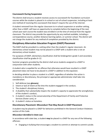# <span id="page-19-0"></span>**Coursework During Suspension**

The district shall ensure a student receives access to coursework for foundation curriculum courses while the student is placed in in-school or out-of-school suspension, including at least one method of receiving this coursework that doesn't require the use of the internet.

A student removed from the regular classroom to in-school suspension or another setting, other than a DAEP, will have an opportunity to complete before the beginning of the next school year each course the student was enrolled in at the time of removal from the regular classroom. The district may provide the opportunity by any method available, including a correspondence course, another distance learning option, or summer school. The district will not charge the student for any method of completion provided by the district.

# <span id="page-19-1"></span>**Disciplinary Alternative Education Program (DAEP) Placement**

The DAEP shall be provided in a setting other than the student's regular classroom. An elementary school student may not be placed in a DAEP with a student who is not an elementary school student.

For purposes of DAEP, elementary classification shall be kindergarten–grade 5 and secondary classification shall be grades 6–12.

Summer programs provided by the district shall serve students assigned to a DAEP in conjunction with other students.

A student who is expelled for an offense that otherwise would have resulted in a DAEP placement does not have to be placed in a DAEP in addition to the expulsion.

In deciding whether to place a student in a DAEP, regardless of whether the action is mandatory or discretionary, the principal or appropriate administrator shall take into consideration:

- 1. Self-defense (see **glossary**),
- 2. Intent or lack of intent at the time the student engaged in the conduct,
- 3. The student's disciplinary history,
- 4. A disability that substantially impairs the student's capacity to appreciate the wrongfulness of the student's conduct,
- 5. A student's status in the conservatorship of the Department of Family and Protective Services (foster care), or
- 6. A student's status as homeless.

# <span id="page-19-2"></span>**Discretionary Placement: Misconduct That May Result in DAEP Placement**

A student may be placed in a DAEP for behaviors prohibited in the General Conduct Violations section of this Code.

#### *Misconduct Identified in State Law*

In accordance with state law, a student **may** be placed in a DAEP for any one of the following offenses:

• Engaging in bullying that encourages a student to commit or attempt to commit suicide.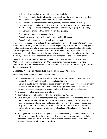- Inciting violence against a student through group bullying.
- Releasing or threatening to release intimate visual material of a minor or of a student who is 18 years of age or older without the student's consent.
- Involvement in a public school fraternity, sorority, or secret society, including participating as a member or pledge, or soliciting another person to become a pledge or member of a public school fraternity, sorority, secret society, or gang. (See **glossary**.)
- Involvement in criminal street gang activity. (See **glossary**.)
- Any criminal mischief, including a felony.
- Assault (no bodily injury) with threat of imminent bodily injury.
- Assault by offensive or provocative physical contact.

In accordance with state law, a student **may** be placed in a DAEP if the superintendent or the superintendent's designee has reasonable belief (see **glossary**) that the student has engaged in conduct punishable as a felony, other than aggravated robbery or those listed as offenses in Title 5 (see **glossary**) of the Penal Code, that occurs off school property and not at a schoolsponsored or school-related event, if the student's presence in the regular classroom threatens the safety of other students or teachers or will be detrimental to the educational process.

The principal or appropriate administrator **may**, but is not required to, place a student in a DAEP for off-campus conduct for which DAEP placement is required by state law if the administrator does not have knowledge of the conduct before the first anniversary of the date the conduct occurred.

# <span id="page-20-0"></span>**Mandatory Placement: Misconduct That Requires DAEP Placement**

A student **must** be placed in a DAEP if the student:

- Engages in conduct relating to a false alarm or report (including a bomb threat) or a terroristic threat involving a public school. (See glossary.)
- Commits the following offenses on school property or within 300 feet of school property as measured from any point on the school's real property boundary line, or while attending a school-sponsored or school-related activity on or off school property:
- **Engages in conduct punishable as a felony.**
- Commits an assault (see **glossary**) under Penal Code 22.01(a)(1).
- Sells, gives, or delivers to another person, or possesses, uses, or is under the influence of marijuana, a controlled substance, or a dangerous drug in an amount not constituting a felony offense. A student with a valid prescription for low-THC cannabis as authorized by Chapter 487 of the Health and Safety Code does not violate this provision. (Schoolrelated felony drug offenses are addressed in **Expulsion**.) (See **glossary** for "under the influence.")
- Sells, gives, or delivers to another person an alcoholic beverage; commits a serious act or offense while under the influence of alcohol; or possesses, uses, or is under the influence of alcohol, if the conduct is not punishable as a felony offense. (School-related felony alcohol offenses are addressed in **Expulsion**.)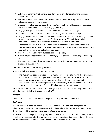- Behaves in a manner that contains the elements of an offense relating to abusable volatile chemicals.
- Behaves in a manner that contains the elements of the offense of public lewdness or indecent exposure. (See **glossary**.)
- **Engages in conduct that contains the elements of an offense of harassment against an** employee under Penal Code 42.07(a)(1), (2), (3), or (7).
- Engages in expellable conduct and is between six and nine years of age.
- Commits a federal firearms violation and is younger than six years of age.
- Engages in conduct that contains the elements of the offense of retaliation against any school employee or volunteer on or off school property. (Committing retaliation in combination with another expellable offense is addressed in **Expulsion**.)
- Engages in conduct punishable as aggravated robbery or a felony listed under Title 5 (see **glossary**) of the Penal Code when the conduct occurs off school property and not at a school-sponsored or school-related event and:
- The student receives deferred prosecution (see **glossary**),
- A court or jury finds that the student has engaged in delinquent conduct (see **glossary**), or
- The superintendent or designee has a reasonable belief (see **glossary**) that the student engaged in the conduct.

# <span id="page-21-0"></span>**Sexual Assault and Campus Assignments**

A student shall be transferred to another campus if:

- The student has been convicted of continuous sexual abuse of a young child or disabled individual or convicted of or placed on deferred adjudication for sexual assault or aggravated sexual assault against another student on the same campus: and
- The victim's parent or another person with the authority to act on behalf of the victim requests that the board transfer the offending student to another campus..

If there is no other campus in the district serving the grade level of the offending student, the offending student shall be transferred to a DAEP.

# <span id="page-21-1"></span>**Process**

Removals to a DAEP shall be made by the principal or appropriate administrator.

# *Conference*

When a student is removed from class for a DAEP offense, the principal or appropriate administrator shall schedule a conference within three school days with the student's parent, the student, and the teacher, in the case of a teacher removal.

At the conference, the principal or appropriate administrator shall inform the student, orally or in writing, of the reasons for the removal and shall give the student an explanation of the basis for the removal and an opportunity to respond to the reasons for the removal.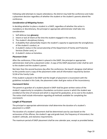Following valid attempts to require attendance, the district may hold the conference and make a placement decision regardless of whether the student or the student's parents attend the conference.

#### *Consideration of Mitigating Factors*

In deciding whether to place a student in a DAEP, regardless of whether the action is mandatory or discretionary, the principal or appropriate administrator shall take into consideration:

- 1. Self-defense (see **glossary**),
- 2. Intent or lack of intent at the time the student engaged in the conduct,
- 3. The student's disciplinary history,
- 4. A disability that substantially impairs the student's capacity to appreciate the wrongfulness of the student's conduct, or
- 5. A student's status in the conservatorship of the Department of Family and Protective Services (foster care), or
- 6. A student's status as homeless.

#### *Placement Order*

After the conference, if the student is placed in the DAEP, the principal or appropriate administrator shall write a placement order. A copy of the DAEP placement order shall be sent to the student and the student's parent.

Not later than the second business day after the conference, the board's designee shall deliver to the juvenile court a copy of the placement order and all information required by Section 52.04 of the Family Code.

If the student is placed in the DAEP and the length of placement is inconsistent with the guidelines included in this Code, the placement order shall give notice of the inconsistency.

#### *Coursework Notice*

The parent or guardian of a student placed in DAEP shall be given written notice of the student's opportunity to complete a foundation curriculum course in which the student was enrolled at the time of removal and which is required for graduation, at no cost to the student. The notice shall include information regarding all methods available for completing the coursework.

#### <span id="page-22-0"></span>**Length of Placement**

The principal or appropriate administrator shall determine the duration of a student's placement in a DAEP.

The duration of a student's placement shall be determined case by case based on the seriousness of the offense, the student's age and grade level, the frequency of misconduct, the student's attitude, and statutory requirements.

The maximum period of DAEP placement shall be one calendar year, except as provided below.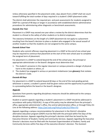Unless otherwise specified in the placement order, days absent from a DAEP shall not count toward fulfilling the total number of days required in a student's DAEP placement order.

The district shall administer the required pre- and post-assessments for students assigned to DAEP for a period of 90 days or longer in accordance with established district administrative procedures for administering other diagnostic or benchmark assessments.

# *Exceeds One Year*

Placement in a DAEP may exceed one year when a review by the district determines that the student is a threat to the safety of other students or to district employees.

The statutory limitations on the length of a DAEP placement do not apply to a placement resulting from the board's decision to place a student who engaged in the sexual assault of another student so that the students are not assigned to the same campus.

# *Exceeds School Year*

Students who commit offenses requiring placement in a DAEP at the end of one school year may be required to continue that placement at the start of the next school year to complete the assigned term of placement.

For placement in a DAEP to extend beyond the end of the school year, the principal or appropriate administrator or the board's designee must determine that:

- 1. The student's presence in the regular classroom or campus presents a danger of physical harm to the student or others, or
- 2. The student has engaged in serious or persistent misbehavior (see **glossary**) that violates the district's Code.

# *Exceeds 60 Days*

For placement in a DAEP to extend beyond 60 days or the end of the next grading period, whichever is sooner, a student's parent shall be given notice and the opportunity to participate in a proceeding before the board or the board's designee.

# <span id="page-23-0"></span>**Appeals**

Questions from parents regarding disciplinary measures should be addressed to the campus administration.

Student or parent appeals regarding a student's placement in a DAEP should be addressed in accordance with policy FO(LOCAL). A copy of this policy may be obtained from the principal's office, appropriate administrator's office, the central administration office, or through Policy On Line at the following address: <https://pol.tasb.org/Policy/Code/312?filter=FO>

Appeals regarding a campus recommendation for placement in the District's discipline alternative education program (DAEP) must be filed with the principal within five days of the discipline decision. Appeals regarding the principal's decision shall then be heard by the Executive Director of Student, Family and Community Services. Appeals regarding the Executive Director's decisions must be filed with the Assistant Superintendent of Student, Family and Community Services within five days of the executive director's decision. The Assistant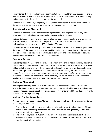Superintendent of Student, Family and Community Services shall then hear the appeal, and a final decision shall be made. The decision of the Assistant Superintendent of Student, Family and Community Services is final and may not be appealed.

The district shall not delay disciplinary consequences pending the outcome of an appeal. The decision to place a student in a DAEP cannot be appealed beyond the board.

# <span id="page-24-0"></span>**Restrictions During Placement**

The district does not permit a student who is placed in a DAEP to participate in any schoolsponsored or school-related extracurricular or cocurricular activitities.

A student placed in a DAEP shall not be provided transportation unless he or she is a student with a disability who is entitled to transportation in accordance with the student's individualized education program (IEP) or Section 504 plan.

For seniors who are eligible to graduate and are assigned to a DAEP at the time of graduation, the last day of placement in the program shall be the last instructional day, and the student shall be allowed to participate in the graduation ceremony and related graduation activities unless otherwise specified in the DAEP placement order.

# <span id="page-24-1"></span>**Placement Review**

A student placed in a DAEP shall be provided a review of his or her status, including academic status, by the campus behavior coordinator or the board's designee at intervals not to exceed 120 days. In the case of a high school student, the student's progress toward graduation and the student's graduation plan shall also be reviewed. At the review, the student or the student's parent shall be given the opportunity to present arguments for the student's return to the regular classroom or campus. The student may not be returned to the classroom of a teacher who removed the student without that teacher's consent.

# <span id="page-24-2"></span>**Additional Misconduct**

If during the term of placement in a DAEP the student engages in additional misconduct for which placement in a DAEP or expulsion is required or permitted, additional proceedings may be conducted, and the campus behavior coordinator may enter an additional disciplinary order as a result of those proceedings.

# <span id="page-24-3"></span>**Notice of Criminal Proceedings**

When a student is placed in a DAEP for certain offenses, the office of the prosecuting attorney shall notify the district if:

- 1. Prosecution of a student's case was refused for lack of prosecutorial merit or insufficient evidence and no formal proceedings, deferred adjudication (see **glossary**), or deferred prosecution will be initiated; or
- 2. The court or jury found a student not guilty, or made a finding that the student did not engage in delinquent conduct or conduct indicating a need for supervision, and the case was dismissed with prejudice.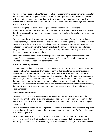If a student was placed in a DAEP for such conduct, on receiving the notice from the prosecutor, the superintendent or designee shall review the student's placement and schedule a review with the student's parent not later than the third day after the superintendent or designee receives notice from the prosecutor. The student may not be returned to the regular classroom pending the review.

After reviewing the notice and receiving information from the student's parent, the superintendent or designee may continue the student's placement if there is reason to believe that the presence of the student in the regular classroom threatens the safety of other students or teachers.

The student or the student's parent may appeal the superintendent's decision to the board. The student may not be returned to the regular classroom pending the appeal. In the case of an appeal, the board shall, at the next scheduled meeting, review the notice from the prosecutor and receive information from the student, the student's parent, and the superintendent or designee, and confirm or reverse the decision of the superintendent or designee. The board shall make a record of the proceedings.

If the board confirms the decision of the superintendent or designee, the student and the student's parent may appeal to the Commissioner of Education. The student may not be returned to the regular classroom pending the appeal.

# <span id="page-25-0"></span>**Withdrawal During Process**

When a student violates the district's Code in a way that requires or permits the student to be placed in a DAEP and the student withdraws from the district before a placement order is completed, the campus behavior coordinator may complete the proceedings and issue a placement order. If the student then re-enrolls in the district during the same or a subsequent school year, the district may enforce the order at that time, less any period of the placement that has been served by the student during enrollment in another district. If the campus behavior coordinator or the board fails to issue a placement order after the student withdraws, the next district in which the student enrolls may complete the proceedings and issue a placement order.

# <span id="page-25-1"></span>**Newly Enrolled Students**

The district shall decide on a case-by-case basis whether to continue the placement of a student who enrolls in the district and was assigned to a DAEP in an open-enrollment charter school or another district. The district may place the student in the district's DAEP or a regular classroom setting.

A newly enrolled student with a DAEP placement from a district in another state shall be placed as any other newly enrolled student if the behavior committed is a reason for DAEP placement in the receiving district.

If the student was placed in a DAEP by a school district in another state for a period that exceeds one year, this district, by state law, shall reduce the period of the placement so that the total placement does not exceed one year. After a review, however, the placement may be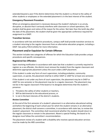extended beyond a year if the district determines that the student is a threat to the safety of other students or employees or the extended placement is in the best interest of the student.

# <span id="page-26-0"></span>**Emergency Placement Procedure**

When an emergency placement is necessary because the student's behavior is so unruly, disruptive, or abusive that it seriously interferes with classroom or school operations, the student shall be given oral notice of the reason for the action. Not later than the tenth day after the date of the placement, the student shall be given the appropriate conference required for assignment to a DAEP.

# <span id="page-26-1"></span>**Transition Services**

In accordance with law and district procedures, campus staff shall provide transition services to a student returning to the regular classroom from an alternative education program, including a DAEP. See policy FOCA (LEGAL) for more information.

# <span id="page-26-2"></span>**Placement and/or Expulsion for Certain Offenses**

This section includes two categories of offenses for which the Education Code provides unique procedures and specific consequences.

# <span id="page-26-3"></span>**Registered Sex Offenders**

Upon receiving notification in accordance with state law that a student is currently required to register as a sex offender, the district must remove the student from the regular classroom and determine appropriate placement unless the court orders JJAEP placement.

If the student is under any form of court supervision, including probation, community supervision, or parole, the placement shall be in either DAEP or JJAEP for at least one semester.

If the student is not under any form of court supervision, the placement may be in DAEP or JJAEP for one semester or the placement may be in a regular classroom. The placement may not be in the regular classroom if the board or its designee determines that the student's presence:

- 1. Threatens the safety of other students or teachers,
- 2. Will be detrimental to the educational process, or
- 3. Is not in the best interests of the district's students.

# *Review Committee*

At the end of the first semester of a student's placement in an alternative educational setting and before the beginning of each school year for which the student remains in an alternative placement, the district shall convene a committee, in accordance with state law, to review the student's placement. The committee shall recommend whether the student should return to the regular classroom or remain in the placement. Absent a special finding, the board or its designee must follow the committee's recommendation.

The placement review of a student with a disability who receives special education services must be made by the ARD committee.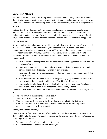# *Newly Enrolled Student*

If a student enrolls in the district during a mandatory placement as a registered sex offender, the district may count any time already spent by the student in a placement or may require an additional semester in an alternative placement without conducting a review of the placement.

# *Appeal*

A student or the student's parent may appeal the placement by requesting a conference between the board or its designee, the student, and the student's parent. The conference is limited to the factual question of whether the student is required to register as a sex offender. Any decision of the board or its designee under this section is final and may not be appealed.

# <span id="page-27-0"></span>**Certain Felonies**

Regardless of whether placement or expulsion is required or permitted by one of the reasons in the DAEP Placement or Expulsion sections, in accordance with Education Code 37.0081, a student may be expelled and placed in either DAEP or JJAEP if the board or campus behavior coordinator makes certain findings and the following circumstances exist in relation to aggravated robbery or a felony offense under Title 5 (see **glossary**) of the Penal Code. The student must:

- Have received deferred prosecution for conduct defined as aggravated robbery or a Title 5 felony offense;
- Have been found by a court or jury to have engaged in delinquent conduct for conduct defined as aggravated robbery or a Title 5 felony offense;
- Have been charged with engaging in conduct defined as aggravated robbery or a Title 5 felony offense;
- Have been referred to a juvenile court for allegedly engaging in delinquent conduct for conduct defined as aggravated robbery or a Title 5 felony offense; or
- Have received probation or deferred adjudication or have been arrested for, charged with, or convicted of aggravated robbery or a Title 5 felony offense.

The district may expel the student and order placement under these circumstances regardless of:

- 1. The date on which the student's conduct occurred,
- 2. The location at which the conduct occurred,
- 3. Whether the conduct occurred while the student was enrolled in the district, or
- 4. Whether the student has successfully completed any court disposition requirements imposed in connection with the conduct.

# *Hearing and Required Findings*

The student must first have a hearing before the board or its designee, who must determine that in addition to the circumstances above that allow for the expulsion, the student's presence in the regular classroom:

- 1. Threatens the safety of other students or teachers,
- 2. Will be detrimental to the educational process, or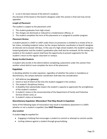3. Is not in the best interest of the district's students.

Any decision of the board or the board's designee under this section is final and may not be appealed.

#### *Length of Placement*

The student is subject to the placement until:

- 1. The student graduates from high school,
- 2. The charges are dismissed or reduced to a misdemeanor offense, or
- 3. The student completes the term of the placement or is assigned to another program.

#### *Placement Review*

A student placed in a DAEP or JJAEP under these circumstances is entitled to a review of his or her status, including academic status, by the campus behavior coordinator or board's designee at intervals not to exceed 120 days. In the case of a high school student, the student's progress toward graduation and the student's graduation plan shall also be reviewed. At the review, the student or the student's parent shall have the opportunity to present arguments for the student's return to the regular classroom or campus.

#### *Newly Enrolled Students*

A student who enrolls in the district before completing a placement under this section from another school district must complete the term of the placement.

# <span id="page-28-0"></span>**Expulsion**

In deciding whether to order expulsion, regardless of whether the action is mandatory or discretionary, the campus behavior coordinator shall take into consideration:

- 1. Self-defense (see **glossary**),
- 2. Intent or lack of intent at the time the student engaged in the conduct,
- 3. The student's disciplinary history,
- 4. A disability that substantially impairs the student's capacity to appreciate the wrongfulness of the student's conduct,
- 5. A student's status in the conservatorship of the Department of Family and Protective Services (foster care), or
- 6. A student's status as homeless.

# <span id="page-28-1"></span>**Discretionary Expulsion: Misconduct That May Result in Expulsion**

Some of the following types of misconduct may result in mandatory placement in a DAEP, whether or not a student is expelled. (See **DAEP Placement**)

#### *Any Location*

A student **may** be expelled for:

- Engaging in bullying that encourages a student to commit or attempt to commit suicide.
- Inciting violence against a student through group bullying.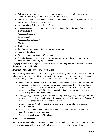- Releasing or threatening to release intimate visual material of a minor or of a student who is 18 years of age or older without the student's consent.
- Conduct that contains the elements of assault under Penal Code 22.01(a)(1) in retaliation against a school employee or volunteer.
- Criminal mischief, if punishable as a felony.
- Engaging in conduct that contains the elements of one of the following offenses against another student:
- Aggravated assault.
- Sexual assault.
- Aggravated sexual assault.
- Murder.
- Capital murder.
- Criminal attempt to commit murder or capital murder.
- Aggravated robbery.
- Breach of computer security. (See **glossary**)
- Engaging in conduct relating to a false alarm or report (including a bomb threat) or a terroristic threat involving a public school.

Engaging in conduct relating to a false alarm or report (including a bomb threat) or a terroristic threat involving a public school.

# *At School, Within 300 Feet, or at a School Event*

A student **may** be expelled for committing any of the following offenses on or within 300 feet of school property, as measured from any point on the school's real property boundary line, or while attending a school-sponsored or school-related activity on or off school property:

- Selling, giving, or delivering to another person, or possessing, using, or being under the influence of marijuana, a controlled substance, or a dangerous drug, if the conduct is not punishable as a felony. A student with a valid prescription for low-THC cannabis as authorized by Chapter 487 of the Health and Safety Code does not violate this provision. (See **glossary** for "under the influence.")
- Selling, giving, or delivering to another person, or possessing, using, or being under the influence of alcohol; or committing a serious act or offense while under the influence of alcohol, if the conduct is not punishable as a felony.
- Engaging in conduct that contains the elements of an offense relating to abusable volatile chemicals.
- Engaging in conduct that contains the elements of assault under Section 22.01(a)(1) against an employee or a volunteer.
- Engaging in deadly conduct. (See **glossary**.)

# *Within 300 Feet of School*

A student **may** be expelled for engaging in the following conduct while within 300 feet of school property, as measured from any point on the school's real property boundary line: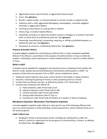- Aggravated assault, sexual assault, or aggravated sexual assault.
- Arson. (See **glossary**.)
- Murder, capital murder, or criminal attempt to commit murder or capital murder.
- Indecency with a child, aggravated kidnapping, manslaughter, criminally negligent homicide, or aggravated robbery.
- Continuous sexual abuse of a young child or children.
- Felony drug- or alcohol-related offense.
- Unlawfully carrying on or about the student's person a handgun or a location-restricted knife, as these terms are defined by state law. (See **glossary**.)
- Possessing, manufacturing, transporting, repairing, or selling a prohibited weapon, as defined by state law. (See **glossary**.)
- Possession of a firearm, as defined by federal law. (See **glossary**.)

# *Property of Another District*

A student **may** be expelled for committing any offense that is a state-mandated expellable offense if the offense is committed on the property of another district in Texas or while the student is attending a school-sponsored or school-related activity of a school in another district in Texas.

# *While in DAEP*

A student may be expelled for engaging in documented serious misbehavior that violates the district's Code, despite documented behavioral interventions while placed in a DAEP. For purposes of discretionary expulsion from a DAEP, serious misbehavior means:

- 1. Deliberate violent behavior that poses a direct threat to the health or safety of others;
- 2. Extortion, meaning the gaining of money or other property by force or threat;
- 3. Conduct that constitutes coercion, as defined by Section 1.07, Penal Code; or
- 4. Conduct that constitutes the offense of:
	- a) Public lewdness under Penal Code 21.07;
	- b) Indecent exposure under Penal Code 21.08;
	- c) Criminal mischief under Penal Code 28.03;
	- d) Hazing under Education Code 37.152; or
	- e) Harassment under Penal Code 42.07(a)(1) of a student or district employee.

# <span id="page-30-0"></span>**Mandatory Expulsion: Misconduct That Requires Expulsion**

A student **must** be expelled under federal or state law for any of the following offenses that occur on school property or while attending a school-sponsored or school-related activity on or off school property:

#### *Under Federal Law*

• Bringing to school or possessing at school, including any setting that is under the district's control or supervision for the purpose of a school activity, a firearm, as defined by federal law. (See **glossary**.)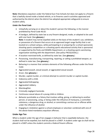**Note:** Mandatory expulsion under the federal Gun Free Schools Act does not apply to a firearm that is lawfully stored inside a locked vehicle, or to firearms used in activities approved and authorized by the district when the district has adopted appropriate safeguards to ensure student safety.

#### *Under the Penal Code*

- Unlawfully carrying on or about the student's person the following, in the manner prohibited by Penal Code 46.02:
- A handgun, defined by state law as any firearm designed, made, or adapted to be used with one hand. (See **glossary**.) **Note**: A student may not be expelled solely on the basis of the student's use, exhibition, or possession of a firearm that occurs at an approved target range facility that is not located on a school campus, while participating in or preparing for a school-sponsored, shooting sports competition or a shooting sports educational activity that is sponsored or supported by the Parks and Wildlife Department, or a shooting sports sanctioning organization working with the department. [See policy FNCG(LEGAL).]
- A location-restricted knife, as defined by state law. (See **glossary**.)
- Possessing, manufacturing, transporting, repairing, or selling a prohibited weapon, as defined in state law. (See **glossary**.)
- Behaving in a manner that contains elements of the following offenses under the Penal Code:
- Aggravated assault, sexual assault, or aggravated sexual assault.
- Arson. (See **glossary**.)
- Murder, capital murder, or criminal attempt to commit murder or capital murder.
- Indecency with a child.
- Aggravated kidnapping.
- Aggravated robbery.
- Manslaughter.
- Criminally negligent homicide.
- Continuous sexual abuse of a young child or children.
- Behavior punishable as a felony that involves selling, giving, or delivering to another person, or possessing, using, or being under the influence of marijuana, a controlled substance, a dangerous drug, or alcohol; or committing a serious act or offense while under the influence of alcohol.
- Engaging in retaliation against a school employee or volunteer combined with one of the above-listed mandatory expulsion offenses.

# <span id="page-31-0"></span>**Under Age Ten**

When a student under the age of ten engages in behavior that is expellable behavior, the student shall not be expelled, but shall be placed in a DAEP. A student under age six shall not be placed in a DAEP unless the student commits a federal firearm offense.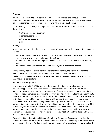# <span id="page-32-0"></span>**Process**

If a student is believed to have committed an expellable offense, the campus behavior coordinator or other appropriate administrator shall schedule a hearing within a reasonable time. The student's parent shall be invited in writing to attend the hearing.

Until a hearing can be held, the campus behavior coordinator or other administrator may place the student in:

- Another appropriate classroom.
- In-school suspension.
- Out-of-school suspension.
- DAEP.

#### *Hearing*

A student facing expulsion shall be given a hearing with appropriate due process. The student is entitled to:

- 1. Representation by the student's parent or another adult who can provide guidance to the student and who is not an employee of the district,
- 2. An opportunity to testify and to present evidence and witnesses in the student's defense, and
- 3. An opportunity to question the witnesses called by the district at the hearing.

After providing notice to the student and parent of the hearing, the district may hold the hearing regardless of whether the student or the student's parent attends.

The board of trustees delegates to the Superintendent or designee the authority to conduct hearings and expel students.

# *Board Review of Expulsion*

In accordance with FO (LOCAL), after the due process hearing, the expelled student may request an appeal of the expulsion decision. The student or parent must submit a written request to the principal within 5 days after receipt of the written decision. An appeal of the principal's decision must be filed with the executive director of Student, Family and Community Services within 5 days of receiving notification of the principal's decision. The Executive Director of Student, Family and Community Services shall then hear the appeal. An appeal of the Executive Director of Student, Family and Community Services' decision shall be heard by the Assistant Superintendent of Student, Family and Community Services. The appeal must be filed within 5 days of the notice of the decision from the Executive Director. An appeal of the Assistant Superintendent shall be heard by the Board and must be filed with the executive assistant to the superintendent within 5 days of receiving notification of the decision from the Assistant Superintendent.

The Assistant Superintendent of Student, Family and Community Services, will provide the student or parent written notice of the date, time, and place of the meeting at which the board will review the decision. The board shall review the record of the expulsion hearing in a closed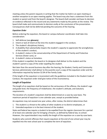meeting unless the parent requests in writing that the matter be held in an open meeting or another exception to an open meeting applies. The board may also hear a statement from the student or parent and from the board's designee. The board shall consider and base its decision on evidence reflected in the record and any statements made by the parties at the review. The board shall make and communicate its decision orally at the conclusion of the presentation. Consequences shall not be deferred pending the outcome of the hearing.

# *Expulsion Order*

Before ordering the expulsion, the board or campus behavior coordinator shall take into consideration:

- 1. Self-defense (see **glossary**),
- 2. Intent or lack of intent at the time the student engaged in the conduct,
- 3. The student's disciplinary history,
- 4. A disability that substantially impairs the student's capacity to appreciate the wrongfulness of the student's conduct,
- 5. A student's status in the conservatorship of the Department of Family and Protective Services (foster care), or
- 6. A student's status as homeless.

If the student is expelled, the board or its designee shall deliver to the student and the student's parent a copy of the order expelling the student.

Not later than the second business day after the hearing, the Student, Family and Community Services administrator shall deliver to the juvenile court a copy of the expulsion order and the information required by Section 52.04 of the Family Code.

If the length of the expulsion is inconsistent with the guidelines included in the Student Code of Conduct, the expulsion order shall give notice of the inconsistency.

# <span id="page-33-0"></span>**Length of Expulsion**

The length of an expulsion shall be based on the seriousness of the offense, the student's age and grade level, the frequency of misbehavior, the student's attitude, and statutory requirements.

The duration of a student's expulsion shall be determined on a case-by-case basis. The maximum period of expulsion is one calendar year, except as provided below.

An expulsion may not exceed one year unless, after review, the district determines that:

- 1. The student is a threat to the safety of other students or to district employees, or
- 2. Extended expulsion is in the best interest of the student.

State and federal law require a student to be expelled from the regular classroom for a period of at least one calendar year for bringing a firearm, as defined by federal law, to school. However, the superintendent may modify the length of the expulsion on a case-by-case basis.

Students who commit offenses that require expulsion at the end of one school year may be expelled into the next school year to complete the term of expulsion.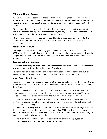# <span id="page-34-0"></span>**Withdrawal During Process**

When a student has violated the district's Code in a way that requires or permits expulsion from the district and the student withdraws from the district before the expulsion hearing takes place, the district may conduct the hearing after sending written notice to the parent and student.

If the student then re-enrolls in the district during the same or subsequent school year, the district may enforce the expulsion order at that time, less any expulsion period that has been served by the student during enrollment in another district.

If the campus behavior coordinator or the board fails to issue an expulsion order after the student withdraws, the next district in which the student enrolls may complete the proceedings.

#### <span id="page-34-1"></span>**Additional Misconduct**

If during the expulsion, the student engages in additional conduct for which placement in a DAEP or expulsion is required or permitted, additional proceedings may be conducted, and the campus behavior coordinator or the board may issue an additional disciplinary order as a result of those proceedings.

# <span id="page-34-2"></span>**Restrictions During Expulsion**

Expelled students are prohibited from being on school grounds or attending school-sponsored or school-related activities during the period of expulsion.

No district academic credit shall be earned for work missed during the period of expulsion unless the student is enrolled in a JJAEP or another district-approved program.

# <span id="page-34-3"></span>**Newly Enrolled Students**

The district shall decide on a case-by-case basis the placement of a student who is subject to an expulsion order from another district or an open-enrollment charter school upon enrollment in the district.

If a student expelled in another state enrolls in the district, the district may continue the expulsion under the terms of the expulsion order, may place the student in a DAEP for the period specified in the order, or may allow the student to attend regular classes if:

- 1. The out-of-state district provides the district with a copy of the expulsion order, and
- 2. The offense resulting in the expulsion is also an expellable offense in the district in which the student is enrolling.

If a student is expelled by a district in another state for a period that exceeds one year and the district continues the expulsion or places the student in a DAEP, the district shall reduce the period of the expulsion or DAEP placement so that the entire period does not exceed one year, unless after a review it is determined that:

- 1. The student is a threat to the safety of other students or district employees, or
- 2. Extended placement is in the best interest of the student.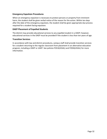# <span id="page-35-0"></span>**Emergency Expulsion Procedures**

When an emergency expulsion is necessary to protect persons or property from imminent harm, the student shall be given verbal notice of the reason for the action. Within ten days after the date of the emergency expulsion, the student shall be given appropriate due process required for a student facing expulsion.

#### <span id="page-35-1"></span>**DAEP Placement of Expelled Students**

The district may provide educational services to any expelled student in a DAEP; however, educational services in the DAEP must be provided if the student is less than ten years of age.

#### <span id="page-35-2"></span>**Transition Services**

In accordance with law and district procedures, campus staff shall provide transition services for a student returning to the regular classroom from placement in an alternative education program, including a DAEP or JJAEP. See policies FOCA(LEGAL) and FODA(LEGAL) for more information.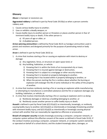# <span id="page-36-0"></span>**Glossary**

**Abuse** is improper or excessive use.

**Aggravated robbery** is defined in part by Penal Code 29.03(a) as when a person commits robbery and:

- 1. Causes serious bodily injury to another;
- 2. Uses or exhibits a deadly weapon; or
- 3. Causes bodily injury to another person or threatens or places another person in fear of imminent bodily injury or death, if the other person is:
	- a) 65 years of age or older, or
	- b) A disabled person.

**Armor-piercing ammunition** is defined by Penal Code 46.01 as handgun ammunition used in pistols and revolvers and designed primarily for the purpose of penetrating metal or body armor.

**Arson** is defined in part by Penal Code 28.02 as:

- 1. A crime that involves starting a fire or causing an explosion with intent to destroy or damage:
	- a) Any vegetation, fence, or structure on open-space land; or
	- b) Any building, habitation, or vehicle:
		- 1) Knowing that it is within the limits of an incorporated city or town,
		- 2) Knowing that it is insured against damage or destruction,
		- 3) Knowing that it is subject to a mortgage or other security interest,
		- 4) Knowing that it is located on property belonging to another,
		- 5) Knowing that it has located within it property belonging to another, or
		- 6) When the person starting the fire is reckless about whether the burning or explosion will endanger the life of some individual or the safety of the property of another.
- 2. A crime that involves recklessly starting a fire or causing an explosion while manufacturing or attempting to manufacture a controlled substance and the fire or explosion damages any building, habitation, or vehicle; or
- 3. A crime that involves intentionally starting a fire or causing an explosion and in so doing:
	- a) Recklessly damages or destroys a building belonging to another, or
	- b) Recklessly causes another person to suffer bodily injury or death.

**Assault** is defined in part by Penal Code §22.01(a)(1) as intentionally, knowingly, or recklessly causing bodily injury to another; §22.01(a)(2) as intentionally or knowingly threatening another with imminent bodily injury; and §22.01(a)(3) as intentionally or knowingly causing physical contact with another that can reasonably be regarded as offensive or provocative.

**Breach of computer security** includes knowingly accessing a computer, computer network, or computer system without the effective consent of the owner as defined in Penal Code 33.02, if the conduct involves accessing a computer, computer network, or computer system owned by or operated on behalf of a school district; and the student knowingly alters, damages, or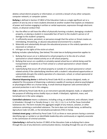deletes school district property or information; or commits a breach of any other computer, computer network, or computer system.

**Bullying** is defined in Section 37.0832 of the Education Code as a single significant act or a pattern of acts by one or more students directed at another student that exploits an imbalance of power and involves engaging in written or verbal expression, expression through electronic means, or physical conduct that:

- 1. Has the effect or will have the effect of physically harming a student, damaging a student's property, or placing a student in reasonable fear of harm to the student's person or of damage to the student's property;
- 2. Is sufficiently severe, persistent, or pervasive enough that the action or threat creates an intimidating, threatening, or abusive educational environment for a student;
- 3. Materially and substantially disrupts the educational process or the orderly operation of a classroom or school; or
- 4. Infringes on the rights of the victim at school.

Bullying includes cyberbullying. (See below) This state law on bullying prevention applies to:

- 1. Bullying that occurs on or is delivered to school property or to the site of a schoolsponsored or school-related activity on or off school property;
- 2. Bullying that occurs on a publicly or privately owned school bus or vehicle being used for transportation of students to or from school or a school-sponsored or school-related activity; and
- 3. Cyberbullying that occurs off school property or outside of a school-sponsored or schoolrelated activity if the cyberbullying interferes with a student's educational opportunities or substantially disrupts the orderly operation of a classroom, school, or school-sponsored or school-related activity.

**Chemical dispensing device** is defined by Penal Code 46.01 as a device designed, made, or adapted for the purpose of dispensing a substance capable of causing an adverse psychological or physiological effect on a human being. A small chemical dispenser sold commercially for personal protection is not in this category.

**Club** is defined by Penal Code 46.01 as an instrument specially designed, made, or adapted for the purpose of inflicting serious bodily injury or death. A blackjack, nightstick, mace, and tomahawk are in the same category.

**Controlled substance** means a substance, including a drug, an adulterant, and a dilutant, listed in Schedules I through V or Penalty Group 1, 1-A, 1-B, 2, 2-A, 3, or 4 of the Texas Controlled Substances Act. The term includes the aggregate weight of any mixture, solution, or other substance containing a controlled substance. The term does not include hemp, as defined by Agriculture Code 121.001, or the tetrahydrocannabinols (THC) in hemp.

**Criminal street gang** is defined by Penal Code 71.01 as three or more persons having a common identifying sign or symbol or an identifiable leadership who continuously or regularly associate in the commission of criminal activities.

**Cyberbullying** is defined by Section 37.0832 of the Education Code as bullying that is done through the use of any electronic communication device, including through the use of a cellular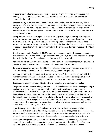or other type of telephone, a computer, a camera, electronic mail, instant messaging, text messaging, a social media application, an internet website, or any other internet-based communication tool.

**Dangerous drug** is defined by Health and Safety Code 483.001 as a device or a drug that is unsafe for self-medication and that is not included in Schedules I through V or Penalty Groups 1 through 4 of the Texas Controlled Substances Act. The term includes a device or drug that federal law prohibits dispensing without prescription or restricts to use by or on the order of a licensed veterinarian.

**Dating violence** occurs when a person in a current or past dating relationship uses physical, sexual, verbal, or emotional abuse to harm, threaten, intimidate, or control another person in the relationship. Dating violence also occurs when a person commits these acts against a person in a marriage or dating relationship with the individual who is or was once in a marriage or dating relationship with the person committing the offense, as defined by Section 71.0021 of the Family Code.

**Deadly conduct** under Penal Code 22.05 occurs when a person recklessly engages in conduct that places another in imminent danger of serious bodily injury, such as knowingly discharging a firearm in the direction of an individual, habitation, building, or vehicle.

**Deferred adjudication** is an alternative to seeking a conviction in court that may be offered to a juvenile for delinquent conduct or conduct indicating a need for supervision.

**Deferred prosecution** may be offered to a juvenile as an alternative to seeking a conviction in court for delinquent conduct or conduct indicating a need for supervision.

**Delinquent conduct** is conduct that violates either state or federal law and is punishable by imprisonment or confinement in jail. It includes conduct that violates certain juvenile court orders, including probation orders, but does not include violations of traffic laws.

**Discretionary** means that something is left to or regulated by a local decision maker.

**E-cigarette** means an electronic cigarette or any other device that simulates smoking by using a mechanical heating element, battery, or electronic circuit to deliver nicotine or other substances to the individual inhaling from the device or a consumable liquid solution or other material aerosolized or vaporized during the use of an electronic cigarette or other device described by this provision. The term includes any device that is manufactured, distributed, or sold as an e-cigarette, e-cigar, or e-pipe or under another product name or description and a component, part, or accessory for the device, regardless of whether the component, part, or accessory is sold separately from the device.

**Explosive weapon** is defined by Penal Code 46.01 as any explosive or incendiary bomb, grenade, rocket, or mine and its delivery mechanism that is designed, made, or adapted for the purpose of inflicting serious bodily injury, death, or substantial property damage, or for the principal purpose of causing such a loud report as to cause undue public alarm or terror.

**False alarm or report** under Penal Code 42.06 occurs when a person knowingly initiates, communicates, or circulates a report of a present, past, or future bombing, fire, offense, or other emergency that he or she knows is false or baseless and that would ordinarily: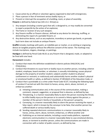- 1. Cause action by an official or volunteer agency organized to deal with emergencies;
- 2. Place a person in fear of imminent serious bodily injury; or
- 3. Prevent or interrupt the occupation of a building, room, or place of assembly.

**Firearm** is defined by federal law (18 U.S.C. 921(a)) as:

- 1. Any weapon (including a starter gun) that will, is designed to, or may readily be converted to expel a projectile by the action of an explosive;
- 2. The frame or receiver of any such weapon;
- 3. Any firearm muffler or firearm silencer, defined as any device for silencing, muffling, or diminishing the report of a portable firearm; or
- 4. Any destructive device, such as any explosive, incendiary or poison gas bomb, or grenade. Such term does not include an antique firearm.

**Graffiti** includes markings with paint, an indelible pen or marker, or an etching or engraving device on tangible property without the effective consent of the owner. The markings may include inscriptions, slogans, drawings, or paintings.

**Handgun** is defined by Penal Code 46.01 as any firearm that is designed, made, or adapted to be fired with one hand.

#### **Harassment** includes:

- 1. Conduct that meets the definition established in district policies DIA(LOCAL) and FFH(LOCAL);
- 2. Conduct that threatens to cause harm or bodily injury to another person, including a district student, employee, board member, or volunteer; is sexually intimidating; causes physical damage to the property of another student; subjects another student to physical confinement or restraint; or maliciously and substantially harms another student's physical or emotional health or safety, as defined in Section 37.001(b)(2) of the Education Code; or
- 3. Conduct that is punishable as a crime under Penal Code 42.07, including the following types of conduct if carried out with the intent to harass, annoy, alarm, abuse, torment, or embarrass another:
	- a) Initiating communication and, in the course of the communication, making a comment, request, suggestion, or proposal that is obscene, as defined by law;
	- b) Threatening, in a manner reasonably likely to alarm the person receiving the threat, to inflict bodily injury on the person or to commit a felony against the person, a member of the person's family or household, or the person's property;
	- c) Conveying, in a manner reasonably likely to alarm the person receiving the report, a false report, which is known by the conveyor to be false, that another person has suffered death or serious bodily injury;
	- d) Sending repeated electronic communications in a manner reasonably likely to harass, annoy, alarm, abuse, torment, embarrass, or offend another and
	- e) Publishing on an internet website, including a social media platform, repeated electronic communication in a manner reasonably likely to case emotional distress, abuse, or torment to another person, unless the communications are made in connection with a matter of public concern, as defined by law.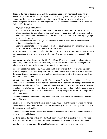**Hazing** is defined by Section 37.151 of the Education Code as an intentional, knowing, or reckless act, on or off campus, by one person alone or acting with others, directed against a student for the purpose of pledging, initiation into, affiliation with, holding office in, or maintaining membership in a student organization if the act meets the elements in Education Code 37.151, including:

- 1. Any type of physical brutality;
- 2. An activity that subjects the student to an unreasonable risk of harm or that adversely affects the student's mental or physical health, such as sleep deprivation, exposure to the elements, confinement to small spaces, calisthenics, or consumption of food, liquids, drugs, or other substances;
- 3. An activity that induces, causes, or requires the student to perform a duty or task that violates the Penal Code; and
- 4. Coercing a student to consume a drug or alcoholic beverage in an amount that would lead a reasonable person to believe the student is intoxicated.

**Hit list** is defined in Section 37.001(b)(3) of the Education Code as a list of people targeted to be harmed, using a firearm, a knife, or any other object to be used with intent to cause bodily harm.

**Improvised explosive device** is defined by Penal Code 46.01 as a completed and operational bomb designed to cause serious bodily injury, death, or substantial property damage that is fabricated in an improvised manner using nonmilitary components.

**Indecent exposure** is defined by Penal Code 21.08 as an offense that occurs when a person exposes the person's anus or any part of the person's genitals with intent to arouse or gratify the sexual desire of any person, and is reckless about whether another is present who will be offended or alarmed by the act.

**Intimate visual material** is defined by Civil Practices and Remedies Code 98B.001 and Penal Code 21.16 as visual material that depicts a person with the person's intimate parts exposed or engaged in sexual conduct. "Visual material" means any film, photograph, video tape, negative, or slide of any photographic reproduction or any other physical medium that allows an image to be displayed on a computer or other video screen and any image transmitted to a computer or other video screen.

**Location-restricted knife** is defined by Penal Code 46.01 as a knife with a blade over five and one-half inches.

**Knuckles** means any instrument consisting of finger rings or guards made of a hard substance and designed or adapted for inflicting serious bodily injury or death by striking a person with a fist enclosed in the knuckles.

**Look-alike weapon** means an item that resembles a weapon but is not intended to be used to cause serious bodily injury.

**Machine gun** as defined by Penal Code 46.01 is any firearm that is capable of shooting more than two shots automatically, without manual reloading, by a single function of the trigger.

**Mandatory** means that something is obligatory or required because of an authority.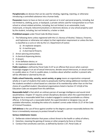**Paraphernalia** are devices that can be used for inhaling, ingesting, injecting, or otherwise introducing a controlled substance into a human body.

**Possession** means to have an item on one's person or in one's personal property, including, but not limited to, clothing, purse, or backpack; a private vehicle used for transportation to or from school or school-related activities, including, but not limited, to an automobile, truck, motorcycle, or bicycle; telecommunications or electronic devices; or any school property used by the student, including, but not limited to, a locker or desk.

#### **Prohibited weapon** under Penal Code 46.05(a) means:

- 1. The following items unless registered with the U.S. Bureau of Alcohol, Tobacco, Firearms, and Explosives or otherwise not subject to that registration requirement or unless the item is classified as a curio or relic by the U.S. Department of Justice:
	- a) An explosive weapon;
	- b) A machine gun;
	- c) A short-barrel firearm;
- 2. Armor-piercing ammunition;
- 3. A chemical dispensing device;
- 4. A zip gun;
- 5. A tire deflation device; or
- 6. An improvised explosive device.

**Public Lewdness** is defined by Penal Code 21.07 as an offense that occurs when a person knowingly engages in an act of sexual intercourse, deviate sexual intercourse, or sexual contact in a public place or, if not in a public place, is reckless about whether another is present who will be offended or alarmed by the act.

**Public school fraternity, sorority, secret society, or gang** means an organization composed wholly or in part of students that seeks to perpetuate itself by taking additional members from the students enrolled in school based on a decision of its membership rather than on the free choice of a qualified student. Educational organizations listed in Section 37.121(d) of the Education Code are excepted from this definition.

**Reasonable belief** is that which an ordinary person of average intelligence and sound mind would believe. Chapter 37 requires certain disciplinary decisions when the superintendent or designee has a reasonable belief that a student engaged in conduct punishable as a felony offense. In forming such a reasonable belief, the superintendent or designee may use all available information, including the notice of a student's arrest under Article 15.27 of the Code of Criminal Procedure.

**Self-defense** is the use of force against another to the degree a person reasonably believes the force is immediately necessary to protect himself or herself.

#### **Serious misbehavior means**:

- 1. Deliberate violent behavior that poses a direct threat to the health or safety of others;
- 2. Extortion, meaning the gaining of money or other property by force or threat;
- 3. Conduct that constitutes coercion, as defined by Section 1.07, Penal Code; or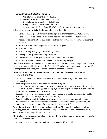- 4. Conduct that constitutes the offense of:
	- a) Public lewdness under Penal Code 21.07;
	- b) Indecent exposure under Penal Code 21.08;
	- c) Criminal mischief under Penal Code 28.03;
	- d) Hazing under Education Code 37.152; or
	- e) Harassment under Penal Code 42.07(a)(1) of a student or district employee.

**Serious or persistent misbehavior** includes, but is not limited to:

- Behavior that is grounds for permissible expulsion or mandatory DAEP placement.
- Behavior identified by the district as grounds for discretionary DAEP placement.
- Actions or demonstrations that substantially disrupt or materially interfere with school activities.
- Refusal to attempt or complete school work as assigned.
- Insubordination.
- Profanity, vulgar language, or obscene gestures.
- Leaving school grounds without permission.
- Falsification of records, passes, or other school-related documents.
- Refusal to accept discipline assigned by the teacher or principal.

**Short-barrel firearm** is defined by Penal Code 46.01 as a rifle with a barrel length of less than 16 inches or a shotgun with a barrel length of less than 18 inches, or any weapon made from a rifle or shotgun that, as altered, has an overall length of less than 26 inches.

**Terroristic threat** is defined by Penal Code 22.07 as a threat of violence to any person or property with intent to:

- 1. Cause a reaction of any type by an official or volunteer agency organized to deal with emergencies;
- 2. Place any person in fear of imminent serious bodily injury;
- 3. Prevent or interrupt the occupation or use of a building; room, place of assembly, or place to which the public has access; place of employment or occupation; aircraft, automobile, or other form of conveyance; or other public place;
- 4. Cause impairment or interruption of public communications; public transportation; public water, gas, or power supply; or other public service;
- 5. Place the public or a substantial group of the public in fear of serious bodily injury; or
- 6. Influence the conduct or activities of a branch or agency of the federal government, the state, or a political subdivision of the state (including the district).

**Tire deflation device** is defined in part by Penal Code 46.01 as a device, including a caltrop or spike strip, that, when driven over, impedes or stops the movement of a wheeled vehicle by puncturing one or more of the vehicle's tires.

**Title 5 felonies** are those crimes listed in Title 5 of the Penal Code that typically involve injury to a person and may include:

• Murder, manslaughter, or homicide under Sections 19.02, – .05;